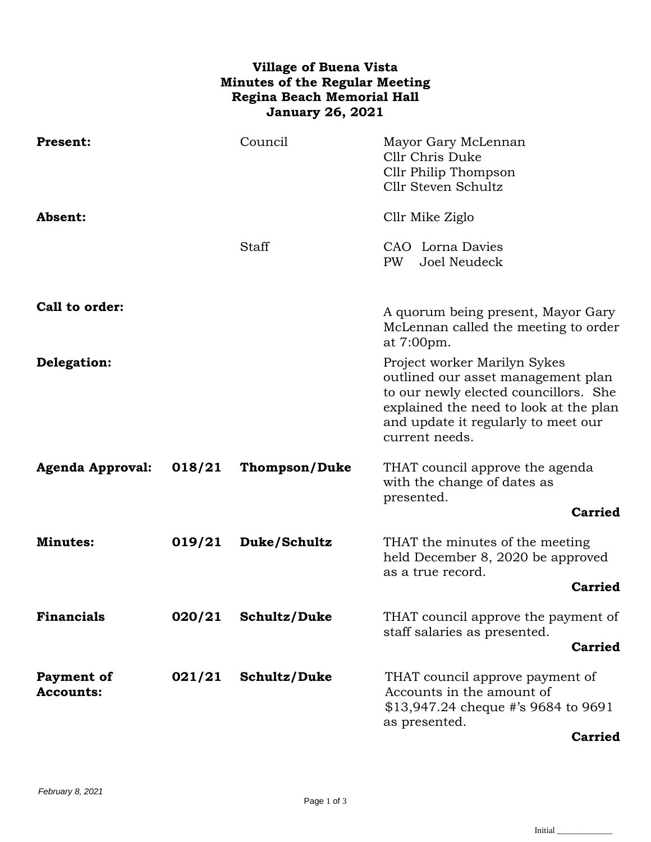## **Village of Buena Vista Minutes of the Regular Meeting Regina Beach Memorial Hall January 26, 2021**

| <b>Present:</b>                       |        | Council              | Mayor Gary McLennan<br>Cllr Chris Duke<br>Cllr Philip Thompson<br>Cllr Steven Schultz                                                                                                                          |
|---------------------------------------|--------|----------------------|----------------------------------------------------------------------------------------------------------------------------------------------------------------------------------------------------------------|
| Absent:                               |        |                      | Cllr Mike Ziglo                                                                                                                                                                                                |
|                                       |        | Staff                | CAO Lorna Davies<br>Joel Neudeck<br>PW                                                                                                                                                                         |
| Call to order:                        |        |                      | A quorum being present, Mayor Gary<br>McLennan called the meeting to order<br>at 7:00pm.                                                                                                                       |
| Delegation:                           |        |                      | Project worker Marilyn Sykes<br>outlined our asset management plan<br>to our newly elected councillors. She<br>explained the need to look at the plan<br>and update it regularly to meet our<br>current needs. |
| <b>Agenda Approval:</b>               | 018/21 | <b>Thompson/Duke</b> | THAT council approve the agenda<br>with the change of dates as<br>presented.                                                                                                                                   |
|                                       |        |                      | <b>Carried</b>                                                                                                                                                                                                 |
| <b>Minutes:</b>                       | 019/21 | Duke/Schultz         | THAT the minutes of the meeting<br>held December 8, 2020 be approved<br>as a true record.                                                                                                                      |
|                                       |        |                      | <b>Carried</b>                                                                                                                                                                                                 |
| <b>Financials</b>                     | 020/21 | Schultz/Duke         | THAT council approve the payment of<br>staff salaries as presented.                                                                                                                                            |
|                                       |        |                      | <b>Carried</b>                                                                                                                                                                                                 |
| <b>Payment of</b><br><b>Accounts:</b> | 021/21 | Schultz/Duke         | THAT council approve payment of<br>Accounts in the amount of<br>\$13,947.24 cheque #'s 9684 to 9691<br>as presented.<br><b>Carried</b>                                                                         |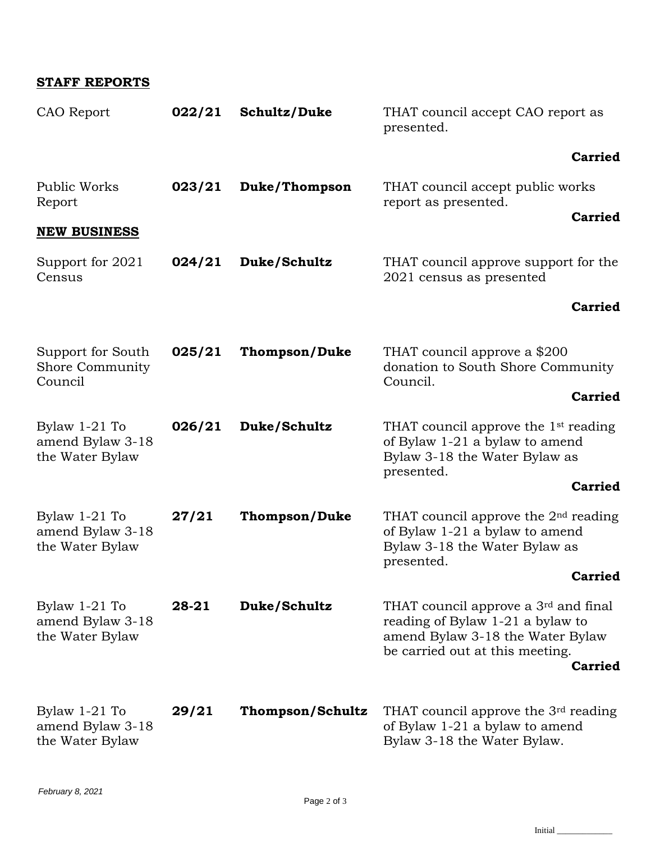## **STAFF REPORTS**

| CAO Report                                             | 022/21 | Schultz/Duke         | THAT council accept CAO report as<br>presented.                                                                                           |
|--------------------------------------------------------|--------|----------------------|-------------------------------------------------------------------------------------------------------------------------------------------|
|                                                        |        |                      | <b>Carried</b>                                                                                                                            |
| Public Works<br>Report                                 | 023/21 | Duke/Thompson        | THAT council accept public works<br>report as presented.                                                                                  |
| <b>NEW BUSINESS</b>                                    |        |                      | <b>Carried</b>                                                                                                                            |
| Support for 2021<br>Census                             | 024/21 | Duke/Schultz         | THAT council approve support for the<br>2021 census as presented                                                                          |
|                                                        |        |                      | <b>Carried</b>                                                                                                                            |
| Support for South<br><b>Shore Community</b><br>Council | 025/21 | <b>Thompson/Duke</b> | THAT council approve a \$200<br>donation to South Shore Community<br>Council.                                                             |
|                                                        |        |                      | <b>Carried</b>                                                                                                                            |
| Bylaw $1-21$ To<br>amend Bylaw 3-18<br>the Water Bylaw | 026/21 | Duke/Schultz         | THAT council approve the 1 <sup>st</sup> reading<br>of Bylaw 1-21 a bylaw to amend<br>Bylaw 3-18 the Water Bylaw as<br>presented.         |
|                                                        |        |                      | <b>Carried</b>                                                                                                                            |
| Bylaw $1-21$ To<br>amend Bylaw 3-18<br>the Water Bylaw | 27/21  | <b>Thompson/Duke</b> | THAT council approve the $2nd$ reading<br>of Bylaw 1-21 a bylaw to amend<br>Bylaw 3-18 the Water Bylaw as<br>presented.<br><b>Carried</b> |
|                                                        |        |                      |                                                                                                                                           |
| Bylaw $1-21$ To<br>amend Bylaw 3-18<br>the Water Bylaw | 29/21  | Thompson/Schultz     | THAT council approve the $3rd$ reading<br>of Bylaw 1-21 a bylaw to amend<br>Bylaw 3-18 the Water Bylaw.                                   |